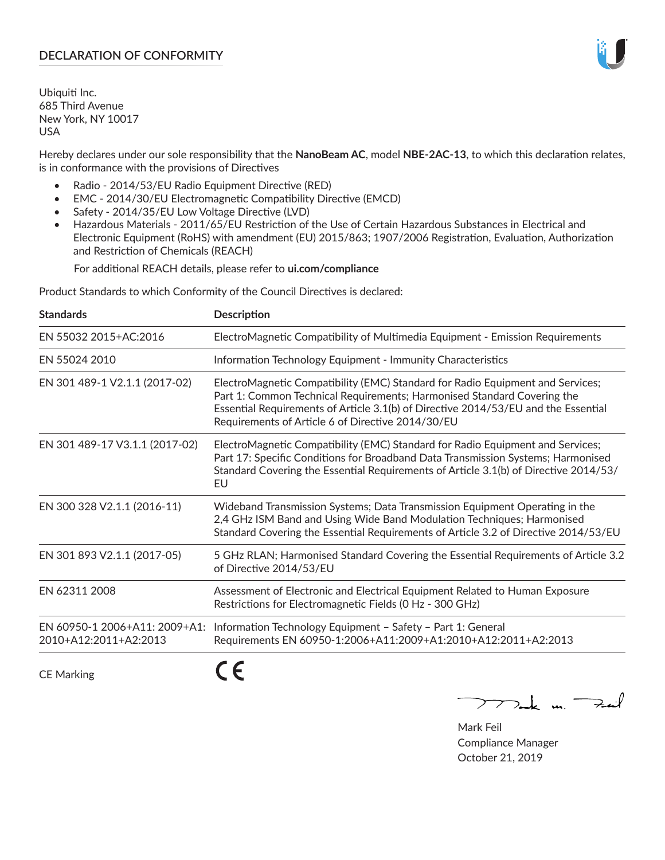# **DECLARATION OF CONFORMITY**

Ubiquiti Inc. 685 Third Avenue New York, NY 10017 USA

Hereby declares under our sole responsibility that the **NanoBeam AC**, model **NBE-2AC-13**, to which this declaration relates, is in conformance with the provisions of Directives

- Radio 2014/53/EU Radio Equipment Directive (RED)
- EMC 2014/30/EU Electromagnetic Compatibility Directive (EMCD)
- Safety 2014/35/EU Low Voltage Directive (LVD)
- Hazardous Materials 2011/65/EU Restriction of the Use of Certain Hazardous Substances in Electrical and Electronic Equipment (RoHS) with amendment (EU) 2015/863; 1907/2006 Registration, Evaluation, Authorization and Restriction of Chemicals (REACH)

For additional REACH details, please refer to **ui.com/compliance**

Product Standards to which Conformity of the Council Directives is declared:

| <b>Standards</b>                                       | <b>Description</b>                                                                                                                                                                                                                                                                                   |
|--------------------------------------------------------|------------------------------------------------------------------------------------------------------------------------------------------------------------------------------------------------------------------------------------------------------------------------------------------------------|
| EN 55032 2015+AC:2016                                  | ElectroMagnetic Compatibility of Multimedia Equipment - Emission Requirements                                                                                                                                                                                                                        |
| EN 55024 2010                                          | Information Technology Equipment - Immunity Characteristics                                                                                                                                                                                                                                          |
| EN 301 489-1 V2.1.1 (2017-02)                          | ElectroMagnetic Compatibility (EMC) Standard for Radio Equipment and Services;<br>Part 1: Common Technical Requirements; Harmonised Standard Covering the<br>Essential Requirements of Article 3.1(b) of Directive 2014/53/EU and the Essential<br>Requirements of Article 6 of Directive 2014/30/EU |
| EN 301 489-17 V3.1.1 (2017-02)                         | ElectroMagnetic Compatibility (EMC) Standard for Radio Equipment and Services;<br>Part 17: Specific Conditions for Broadband Data Transmission Systems; Harmonised<br>Standard Covering the Essential Requirements of Article 3.1(b) of Directive 2014/53/<br>EU                                     |
| EN 300 328 V2.1.1 (2016-11)                            | Wideband Transmission Systems; Data Transmission Equipment Operating in the<br>2,4 GHz ISM Band and Using Wide Band Modulation Techniques; Harmonised<br>Standard Covering the Essential Requirements of Article 3.2 of Directive 2014/53/EU                                                         |
| EN 301 893 V2.1.1 (2017-05)                            | 5 GHz RLAN; Harmonised Standard Covering the Essential Requirements of Article 3.2<br>of Directive 2014/53/EU                                                                                                                                                                                        |
| EN 62311 2008                                          | Assessment of Electronic and Electrical Equipment Related to Human Exposure<br>Restrictions for Electromagnetic Fields (0 Hz - 300 GHz)                                                                                                                                                              |
| EN 60950-1 2006+A11: 2009+A1:<br>2010+A12:2011+A2:2013 | Information Technology Equipment - Safety - Part 1: General<br>Requirements EN 60950-1:2006+A11:2009+A1:2010+A12:2011+A2:2013                                                                                                                                                                        |
|                                                        |                                                                                                                                                                                                                                                                                                      |

CE Marking

C C

mak m. Fuil

Mark Feil Compliance Manager October 21, 2019

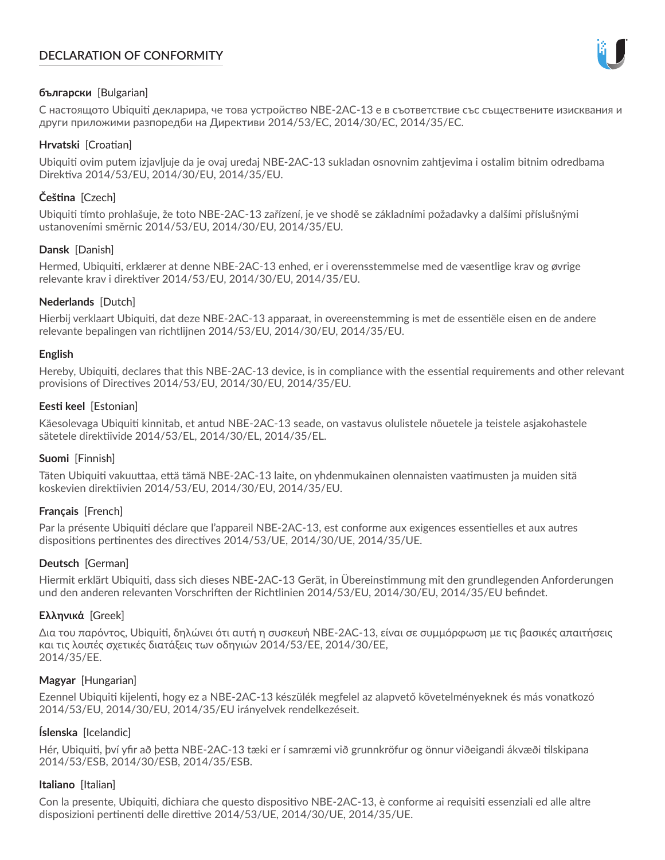# **DECLARATION OF CONFORMITY**



# **български** [Bulgarian]

С настоящото Ubiquiti декларира, че това устройство NBE-2AC-13 е в съответствие със съществените изисквания и други приложими разпоредби на Директиви 2014/53/EC, 2014/30/ЕС, 2014/35/ЕС.

## **Hrvatski** [Croatian]

Ubiquiti ovim putem izjavljuje da je ovaj uređaj NBE-2AC-13 sukladan osnovnim zahtjevima i ostalim bitnim odredbama Direktiva 2014/53/EU, 2014/30/EU, 2014/35/EU.

# **Čeština** [Czech]

Ubiquiti tímto prohlašuje, že toto NBE-2AC-13 zařízení, je ve shodě se základními požadavky a dalšími příslušnými ustanoveními směrnic 2014/53/EU, 2014/30/EU, 2014/35/EU.

# **Dansk** [Danish]

Hermed, Ubiquiti, erklærer at denne NBE-2AC-13 enhed, er i overensstemmelse med de væsentlige krav og øvrige relevante krav i direktiver 2014/53/EU, 2014/30/EU, 2014/35/EU.

# **Nederlands** [Dutch]

Hierbij verklaart Ubiquiti, dat deze NBE-2AC-13 apparaat, in overeenstemming is met de essentiële eisen en de andere relevante bepalingen van richtlijnen 2014/53/EU, 2014/30/EU, 2014/35/EU.

## **English**

Hereby, Ubiquiti, declares that this NBE-2AC-13 device, is in compliance with the essential requirements and other relevant provisions of Directives 2014/53/EU, 2014/30/EU, 2014/35/EU.

## **Eesti keel** [Estonian]

Käesolevaga Ubiquiti kinnitab, et antud NBE-2AC-13 seade, on vastavus olulistele nõuetele ja teistele asjakohastele sätetele direktiivide 2014/53/EL, 2014/30/EL, 2014/35/EL.

## **Suomi** [Finnish]

Täten Ubiquiti vakuuttaa, että tämä NBE-2AC-13 laite, on yhdenmukainen olennaisten vaatimusten ja muiden sitä koskevien direktiivien 2014/53/EU, 2014/30/EU, 2014/35/EU.

## **Français** [French]

Par la présente Ubiquiti déclare que l'appareil NBE-2AC-13, est conforme aux exigences essentielles et aux autres dispositions pertinentes des directives 2014/53/UE, 2014/30/UE, 2014/35/UE.

## **Deutsch** [German]

Hiermit erklärt Ubiquiti, dass sich dieses NBE-2AC-13 Gerät, in Übereinstimmung mit den grundlegenden Anforderungen und den anderen relevanten Vorschriften der Richtlinien 2014/53/EU, 2014/30/EU, 2014/35/EU befindet.

## **Ελληνικά** [Greek]

Δια του παρόντος, Ubiquiti, δηλώνει ότι αυτή η συσκευή NBE-2AC-13, είναι σε συμμόρφωση με τις βασικές απαιτήσεις και τις λοιπές σχετικές διατάξεις των οδηγιών 2014/53/EE, 2014/30/EE, 2014/35/EE.

## **Magyar** [Hungarian]

Ezennel Ubiquiti kijelenti, hogy ez a NBE-2AC-13 készülék megfelel az alapvető követelményeknek és más vonatkozó 2014/53/EU, 2014/30/EU, 2014/35/EU irányelvek rendelkezéseit.

## **Íslenska** [Icelandic]

Hér, Ubiquiti, því yfir að þetta NBE-2AC-13 tæki er í samræmi við grunnkröfur og önnur viðeigandi ákvæði tilskipana 2014/53/ESB, 2014/30/ESB, 2014/35/ESB.

## **Italiano** [Italian]

Con la presente, Ubiquiti, dichiara che questo dispositivo NBE-2AC-13, è conforme ai requisiti essenziali ed alle altre disposizioni pertinenti delle direttive 2014/53/UE, 2014/30/UE, 2014/35/UE.